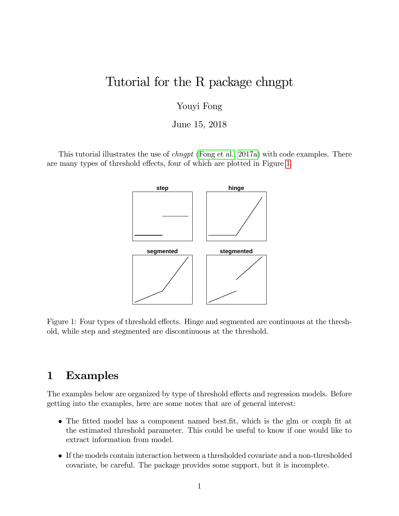# Tutorial for the R package chngpt

Youyi Fong

June 15, 2018

<span id="page-0-0"></span>This tutorial illustrates the use of *chngpt* [\(Fong et al., 2017a\)](#page-8-0) with code examples. There are many types of threshold effects, four of which are plotted in Figure [1.](#page-0-0)



Figure 1: Four types of threshold effects. Hinge and segmented are continuous at the threshold, while step and stegmented are discontinuous at the threshold.

### 1 Examples

The examples below are organized by type of threshold effects and regression models. Before getting into the examples, here are some notes that are of general interest:

- The fitted model has a component named best.fit, which is the glm or coxph fit at the estimated threshold parameter. This could be useful to know if one would like to extract information from model.
- If the models contain interaction between a thresholded covariate and a non-thresholded covariate, be careful. The package provides some support, but it is incomplete.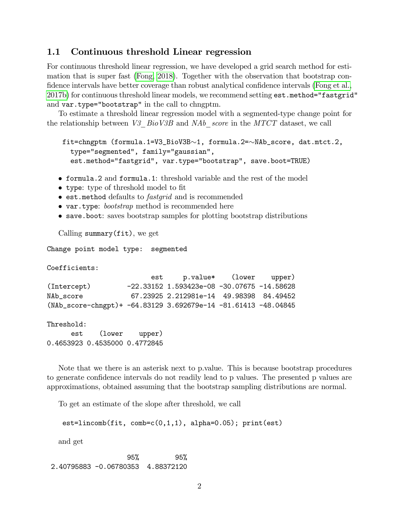#### 1.1 Continuous threshold Linear regression

For continuous threshold linear regression, we have developed a grid search method for estimation that is super fast [\(Fong, 2018\)](#page-7-0). Together with the observation that bootstrap con-fidence intervals have better coverage than robust analytical confidence intervals [\(Fong et al.,](#page-8-1) [2017b\)](#page-8-1) for continuous threshold linear models, we recommend setting est.method="fastgrid" and var.type="bootstrap" in the call to chngptm.

To estimate a threshold linear regression model with a segmented-type change point for the relationship between V3  $BioV3B$  and NAb score in the MTCT dataset, we call

```
fit=chngptm (formula.1=V3_BioV3B\sim1, formula.2=\simNAb_score, dat.mtct.2,
  type="segmented", family="gaussian",
  est.method="fastgrid", var.type="bootstrap", save.boot=TRUE)
```
- formula.2 and formula.1: threshold variable and the rest of the model
- type: type of threshold model to fit
- $\bullet$  est.method defaults to *fastgrid* and is recommended
- var.type: *bootstrap* method is recommended here
- save.boot: saves bootstrap samples for plotting bootstrap distributions

Calling summary(fit), we get

Change point model type: segmented

Coefficients:

|                                                                   | est | p.value* (lower upper)                       |  |
|-------------------------------------------------------------------|-----|----------------------------------------------|--|
| (Intercept)                                                       |     | $-22.33152$ 1.593423e-08 -30.07675 -14.58628 |  |
| NAb score                                                         |     | 67.23925 2.212981e-14 49.98398 84.49452      |  |
| $(NAb_score-chngpt)$ + -64.83129 3.692679e-14 -81.61413 -48.04845 |     |                                              |  |

Threshold:

est (lower upper) 0.4653923 0.4535000 0.4772845

Note that we there is an asterisk next to p.value. This is because bootstrap procedures to generate confidence intervals do not readily lead to p values. The presented p values are approximations, obtained assuming that the bootstrap sampling distributions are normal.

To get an estimate of the slope after threshold, we call

```
est=lincomb(fit, comb=c(0,1,1), alpha=0.05); print(est)
```
and get

95% 95% 2.40795883 -0.06780353 4.88372120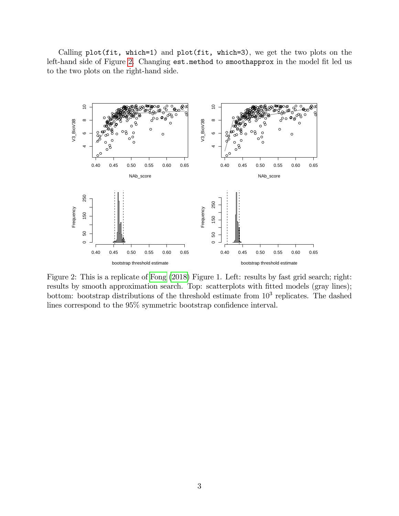Calling plot(fit, which=1) and plot(fit, which=3), we get the two plots on the left-hand side of Figure [2.](#page-2-0) Changing est.method to smoothapprox in the model fit led us to the two plots on the right-hand side.

<span id="page-2-0"></span>

Figure 2: This is a replicate of [Fong](#page-7-0) [\(2018\)](#page-7-0) Figure 1. Left: results by fast grid search; right: results by smooth approximation search. Top: scatterplots with fitted models (gray lines); bottom: bootstrap distributions of the threshold estimate from  $10<sup>3</sup>$  replicates. The dashed lines correspond to the  $95\%$  symmetric bootstrap confidence interval.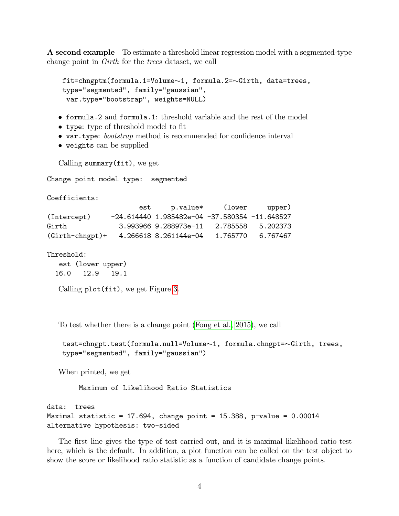A second example To estimate a threshold linear regression model with a segmented-type change point in Girth for the trees dataset, we call

```
fit = chngptm(formula.1=Volume \sim 1, formula.2=\sim Girth, data = trees,type="segmented", family="gaussian",
var.type="bootstrap", weights=NULL)
```
- formula.2 and formula.1: threshold variable and the rest of the model
- type: type of threshold model to fit
- var.type: *bootstrap* method is recommended for confidence interval
- weights can be supplied

Calling summary(fit), we get

Change point model type: segmented

Coefficients:

|                   | est |                                                     | p.value* (lower upper) |                   |
|-------------------|-----|-----------------------------------------------------|------------------------|-------------------|
| (Intercept)       |     | $-24.614440$ 1.985482e-04 $-37.580354$ $-11.648527$ |                        |                   |
| Girth             |     | 3.993966 9.288973e-11 2.785558 5.202373             |                        |                   |
| $(Girth-chngpt)+$ |     | 4.266618 8.261144e-04                               |                        | 1.765770 6.767467 |

Threshold:

est (lower upper) 16.0 12.9 19.1

Calling plot(fit), we get Figure [3.](#page-4-0)

To test whether there is a change point [\(Fong et al., 2015\)](#page-7-1), we call

```
test=chngpt.test(formula.null=Volume\sim1, formula.chngpt=\simGirth, trees,
type="segmented", family="gaussian")
```
When printed, we get

Maximum of Likelihood Ratio Statistics

```
data: trees
Maximal statistic = 17.694, change point = 15.388, p-value = 0.00014alternative hypothesis: two-sided
```
The first line gives the type of test carried out, and it is maximal likelihood ratio test here, which is the default. In addition, a plot function can be called on the test object to show the score or likelihood ratio statistic as a function of candidate change points.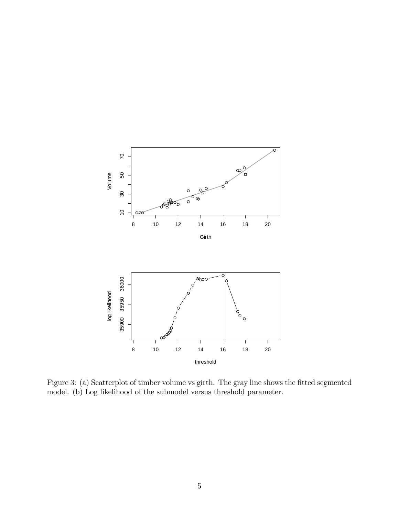<span id="page-4-0"></span>

Figure 3: (a) Scatterplot of timber volume vs girth. The gray line shows the fitted segmented model. (b) Log likelihood of the submodel versus threshold parameter.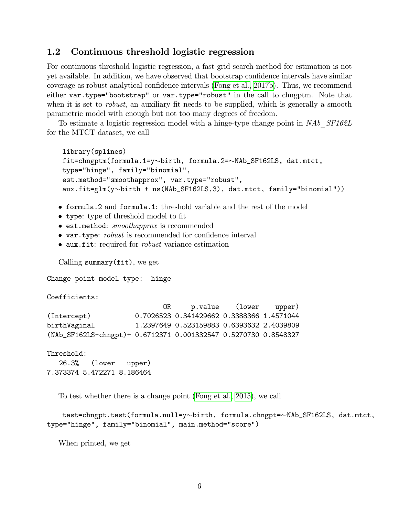#### 1.2 Continuous threshold logistic regression

For continuous threshold logistic regression, a fast grid search method for estimation is not yet available. In addition, we have observed that bootstrap confidence intervals have similar coverage as robust analytical confidence intervals [\(Fong et al., 2017b\)](#page-8-1). Thus, we recommend either var.type="bootstrap" or var.type="robust" in the call to chngptm. Note that when it is set to *robust*, an auxiliary fit needs to be supplied, which is generally a smooth parametric model with enough but not too many degrees of freedom.

To estimate a logistic regression model with a hinge-type change point in NAb SF162L for the MTCT dataset, we call

```
library(splines)
fit=chngptm(formula.1=y~birth, formula.2=~NAb_SF162LS, dat.mtct,
type="hinge", family="binomial",
est.method="smoothapprox", var.type="robust",
aux.fit=glm(y\simbirth + ns(NAb_SF162LS,3), dat.mtct, family="binomial"))
```
- formula.2 and formula.1: threshold variable and the rest of the model
- type: type of threshold model to fit
- **est.method:** smoothapprox is recommended
- var.type: *robust* is recommended for confidence interval
- $\bullet$  aux.fit: required for *robust* variance estimation

Calling summary(fit), we get

Change point model type: hinge

Coefficients:

```
OR p.value (lower upper)
(Intercept) 0.7026523 0.341429662 0.3388366 1.4571044
birthVaginal 1.2397649 0.523159883 0.6393632 2.4039809
(NAb_SF162LS-chngpt)+ 0.6712371 0.001332547 0.5270730 0.8548327
```
Threshold: 26.3% (lower upper) 7.373374 5.472271 8.186464

To test whether there is a change point [\(Fong et al., 2015\)](#page-7-1), we call

```
test=chngpt.test(formula.null=y~birth, formula.chngpt=~NAb_SF162LS, dat.mtct,
type="hinge", family="binomial", main.method="score")
```
When printed, we get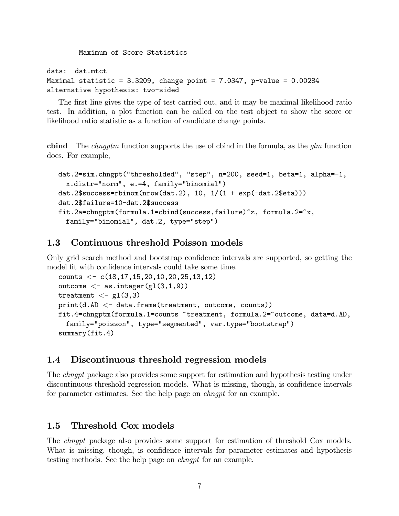Maximum of Score Statistics

data: dat.mt.ct Maximal statistic =  $3.3209$ , change point =  $7.0347$ , p-value =  $0.00284$ alternative hypothesis: two-sided

The first line gives the type of test carried out, and it may be maximal likelihood ratio test. In addition, a plot function can be called on the test object to show the score or likelihood ratio statistic as a function of candidate change points.

cbind The *chngptm* function supports the use of cbind in the formula, as the  $g/m$  function does. For example,

```
dat.2=sim.chngpt("thresholded", "step", n=200, seed=1, beta=1, alpha=-1,
 x.distr="norm", e.=4, family="binomial")
dat.2$success=rbinom(nrow(dat.2), 10, 1/(1 + exp(-dat.2$eta)))
dat.2$failure=10-dat.2$success
fit.2a=chngptm(formula.1=cbind(success,failure)~z, formula.2=~x,
 family="binomial", dat.2, type="step")
```
### 1.3 Continuous threshold Poisson models

Only grid search method and bootstrap confidence intervals are supported, so getting the model fit with confidence intervals could take some time.

```
counts \langle -c(18,17,15,20,10,20,25,13,12)outcome \langle - as.integer(gl(3,1,9))
treatment <- gl(3,3)
print(d.AD < -data.frame(treatment, outcome, counts))fit.4=chngptm(formula.1=counts ~treatment, formula.2=~outcome, data=d.AD,
  family="poisson", type="segmented", var.type="bootstrap")
summary(fit.4)
```
### 1.4 Discontinuous threshold regression models

The chngpt package also provides some support for estimation and hypothesis testing under discontinuous threshold regression models. What is missing, though, is confidence intervals for parameter estimates. See the help page on chngpt for an example.

#### 1.5 Threshold Cox models

The chngpt package also provides some support for estimation of threshold Cox models. What is missing, though, is confidence intervals for parameter estimates and hypothesis testing methods. See the help page on chngpt for an example.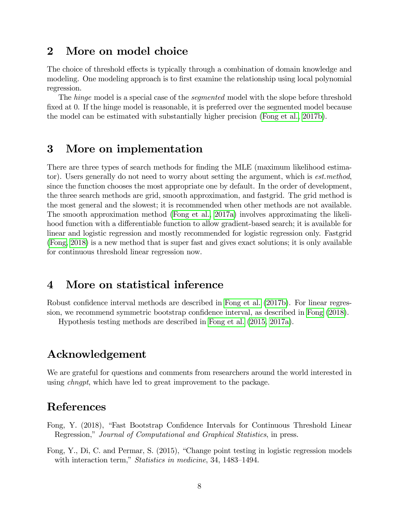### 2 More on model choice

The choice of threshold effects is typically through a combination of domain knowledge and modeling. One modeling approach is to first examine the relationship using local polynomial regression.

The *hinge* model is a special case of the *segmented* model with the slope before threshold fixed at 0. If the hinge model is reasonable, it is preferred over the segmented model because the model can be estimated with substantially higher precision [\(Fong et al., 2017b\)](#page-8-1).

### 3 More on implementation

There are three types of search methods for finding the MLE (maximum likelihood estimator). Users generally do not need to worry about setting the argument, which is est.method, since the function chooses the most appropriate one by default. In the order of development, the three search methods are grid, smooth approximation, and fastgrid. The grid method is the most general and the slowest; it is recommended when other methods are not available. The smooth approximation method [\(Fong et al., 2017a\)](#page-8-0) involves approximating the likelihood function with a differentiable function to allow gradient-based search; it is available for linear and logistic regression and mostly recommended for logistic regression only. Fastgrid [\(Fong, 2018\)](#page-7-0) is a new method that is super fast and gives exact solutions; it is only available for continuous threshold linear regression now.

## 4 More on statistical inference

Robust confidence interval methods are described in [Fong et al.](#page-8-1) [\(2017b\)](#page-8-1). For linear regres-sion, we recommend symmetric bootstrap confidence interval, as described in [Fong](#page-7-0) [\(2018\)](#page-7-0).

Hypothesis testing methods are described in [Fong et al.](#page-7-1) [\(2015,](#page-7-1) [2017a\)](#page-8-0).

# Acknowledgement

We are grateful for questions and comments from researchers around the world interested in using *chngpt*, which have led to great improvement to the package.

### References

- <span id="page-7-0"></span>Fong, Y. (2018), "Fast Bootstrap Confidence Intervals for Continuous Threshold Linear Regression," Journal of Computational and Graphical Statistics, in press.
- <span id="page-7-1"></span>Fong, Y., Di, C. and Permar, S. (2015), "Change point testing in logistic regression models with interaction term," Statistics in medicine, 34, 1483–1494.